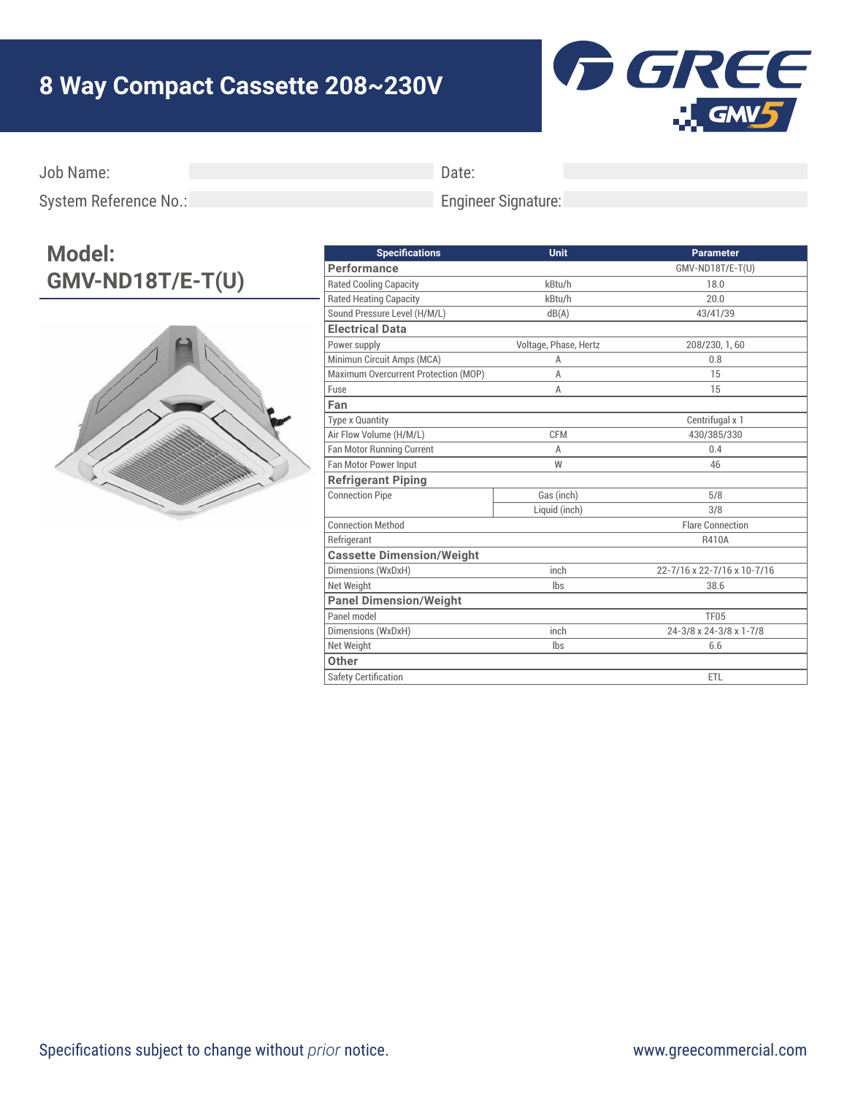## **8 Way Compact Cassette 208~230V**



Job Name:

Date:

System Reference No.:

## Engineer Signature:

## **Model: GMV-ND18T/E-T(U)**



| <b>Unit</b>           | <b>Parameter</b>            |
|-----------------------|-----------------------------|
|                       | GMV-ND18T/E-T(U)            |
| kBtu/h                | 18.0                        |
| kBtu/h                | 20.0                        |
| dB(A)                 | 43/41/39                    |
|                       |                             |
| Voltage, Phase, Hertz | 208/230, 1, 60              |
| A                     | 0.8                         |
| Α                     | 15                          |
| Α                     | 15                          |
|                       |                             |
|                       | Centrifugal x 1             |
| <b>CFM</b>            | 430/385/330                 |
| A                     | 0.4                         |
| W                     | 46                          |
|                       |                             |
| Gas (inch)            | 5/8                         |
| Liquid (inch)         | 3/8                         |
|                       | <b>Flare Connection</b>     |
|                       | R410A                       |
|                       |                             |
| inch                  | 22-7/16 x 22-7/16 x 10-7/16 |
| lbs                   | 38.6                        |
|                       |                             |
|                       | <b>TF05</b>                 |
| inch                  | 24-3/8 x 24-3/8 x 1-7/8     |
| lbs                   | 6.6                         |
|                       |                             |
|                       | ETL                         |
|                       |                             |